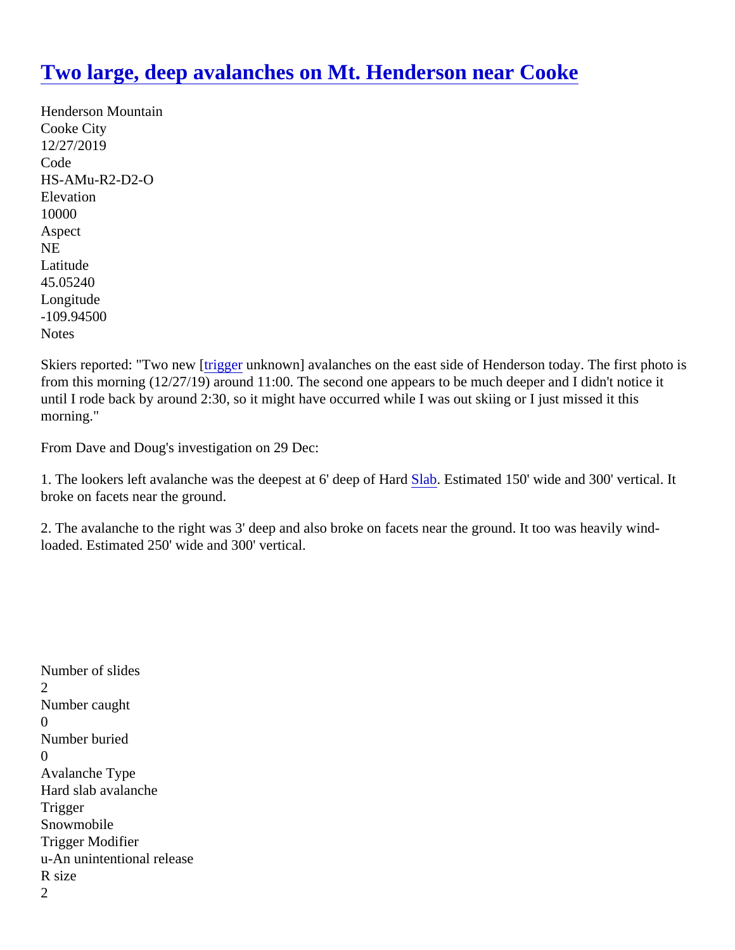## [Two large, deep avalanches on Mt. Henderson near Coo](https://www.mtavalanche.com/node/21368)ke

Henderson Mountain Cooke City 12/27/2019 Code HS-AMu-R2-D2-O **Elevation** 10000 Aspect NE Latitude 45.05240 Longitude -109.94500 **Notes** 

Skiers reported: "Two newr [gger unknown] avalanches on the east side of Henderson today. The first photo is from this morning (12/27/19) around 11:00. The second one appears to be much deeper and I didn't notice it until I rode back by around 2:30, so it might have occurred while I was out skiing or I just missed it this morning."

From Dave and Doug's investigation on 29 Dec:

1. The lookers left avalanche was the deepest at 6' deep o**[Slab](https://www.mtavalanche.com/taxonomy/term/304) Estimated 150'** wide and 300' vertical. It broke on facets near the ground.

2. The avalanche to the right was 3' deep and also broke on facets near the ground. It too was heavily windloaded. Estimated 250' wide and 300' vertical.

Number of slides 2 Number caught  $\Omega$ Number buried 0 Avalanche Type Hard slab avalanche **Trigger Snowmobile** Trigger Modifier u-An unintentional release R size 2